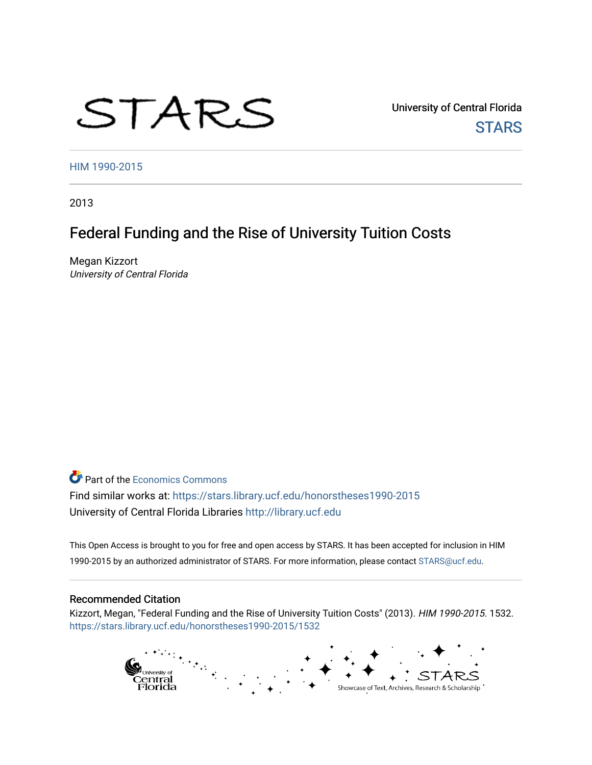# STARS

University of Central Florida **STARS** 

[HIM 1990-2015](https://stars.library.ucf.edu/honorstheses1990-2015) 

2013

# Federal Funding and the Rise of University Tuition Costs

Megan Kizzort University of Central Florida

**Part of the [Economics Commons](http://network.bepress.com/hgg/discipline/340?utm_source=stars.library.ucf.edu%2Fhonorstheses1990-2015%2F1532&utm_medium=PDF&utm_campaign=PDFCoverPages)** Find similar works at: <https://stars.library.ucf.edu/honorstheses1990-2015> University of Central Florida Libraries [http://library.ucf.edu](http://library.ucf.edu/) 

This Open Access is brought to you for free and open access by STARS. It has been accepted for inclusion in HIM 1990-2015 by an authorized administrator of STARS. For more information, please contact [STARS@ucf.edu](mailto:STARS@ucf.edu).

#### Recommended Citation

Kizzort, Megan, "Federal Funding and the Rise of University Tuition Costs" (2013). HIM 1990-2015. 1532. [https://stars.library.ucf.edu/honorstheses1990-2015/1532](https://stars.library.ucf.edu/honorstheses1990-2015/1532?utm_source=stars.library.ucf.edu%2Fhonorstheses1990-2015%2F1532&utm_medium=PDF&utm_campaign=PDFCoverPages) 

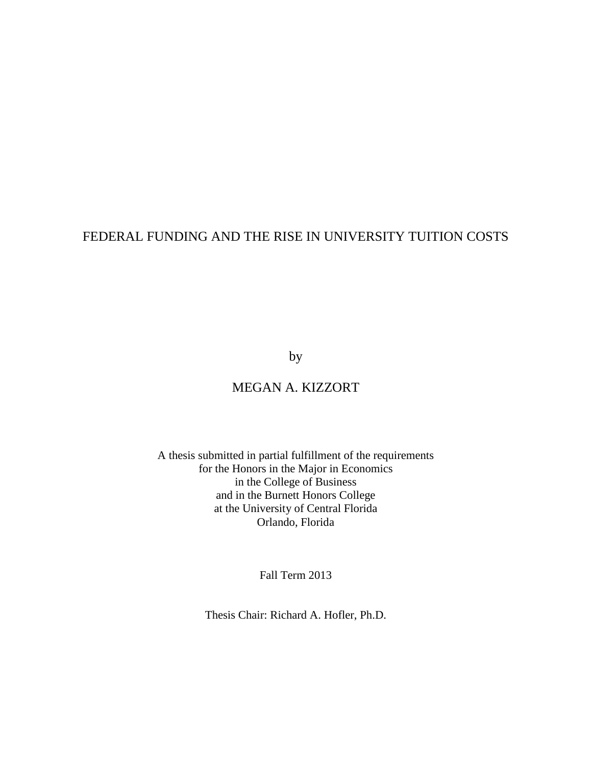# FEDERAL FUNDING AND THE RISE IN UNIVERSITY TUITION COSTS

by

# MEGAN A. KIZZORT

A thesis submitted in partial fulfillment of the requirements for the Honors in the Major in Economics in the College of Business and in the Burnett Honors College at the University of Central Florida Orlando, Florida

Fall Term 2013

Thesis Chair: Richard A. Hofler, Ph.D.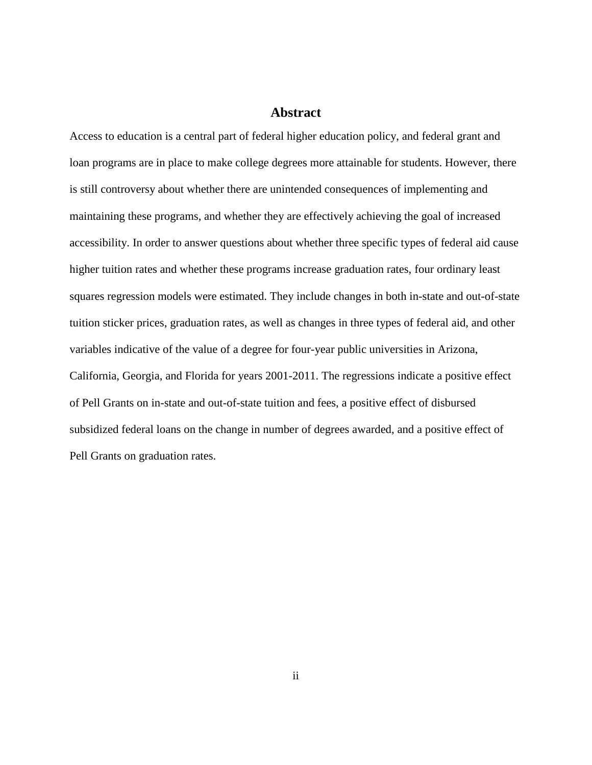## **Abstract**

Access to education is a central part of federal higher education policy, and federal grant and loan programs are in place to make college degrees more attainable for students. However, there is still controversy about whether there are unintended consequences of implementing and maintaining these programs, and whether they are effectively achieving the goal of increased accessibility. In order to answer questions about whether three specific types of federal aid cause higher tuition rates and whether these programs increase graduation rates, four ordinary least squares regression models were estimated. They include changes in both in-state and out-of-state tuition sticker prices, graduation rates, as well as changes in three types of federal aid, and other variables indicative of the value of a degree for four-year public universities in Arizona, California, Georgia, and Florida for years 2001-2011. The regressions indicate a positive effect of Pell Grants on in-state and out-of-state tuition and fees, a positive effect of disbursed subsidized federal loans on the change in number of degrees awarded, and a positive effect of Pell Grants on graduation rates.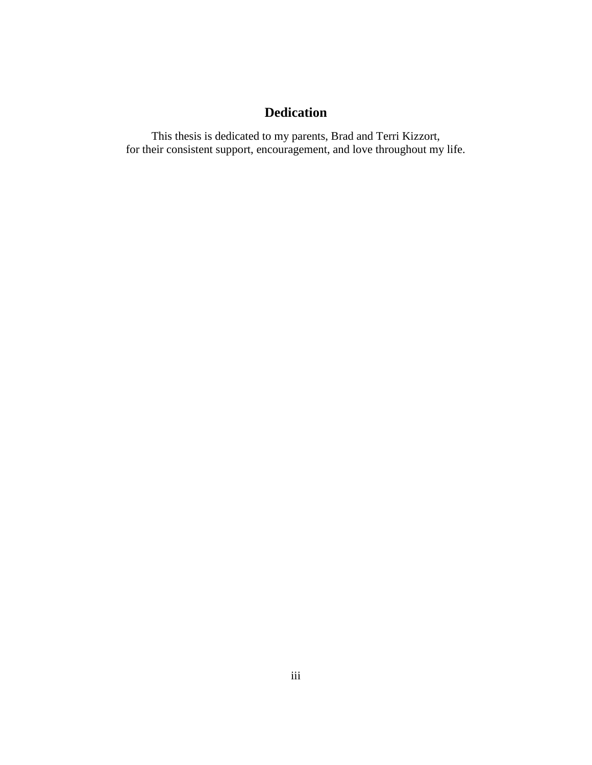# **Dedication**

This thesis is dedicated to my parents, Brad and Terri Kizzort, for their consistent support, encouragement, and love throughout my life.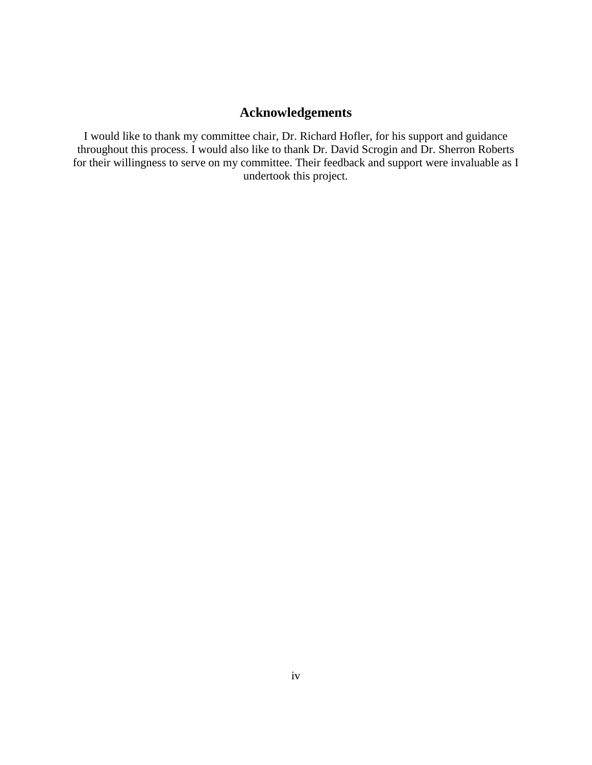# **Acknowledgements**

I would like to thank my committee chair, Dr. Richard Hofler, for his support and guidance throughout this process. I would also like to thank Dr. David Scrogin and Dr. Sherron Roberts for their willingness to serve on my committee. Their feedback and support were invaluable as I undertook this project.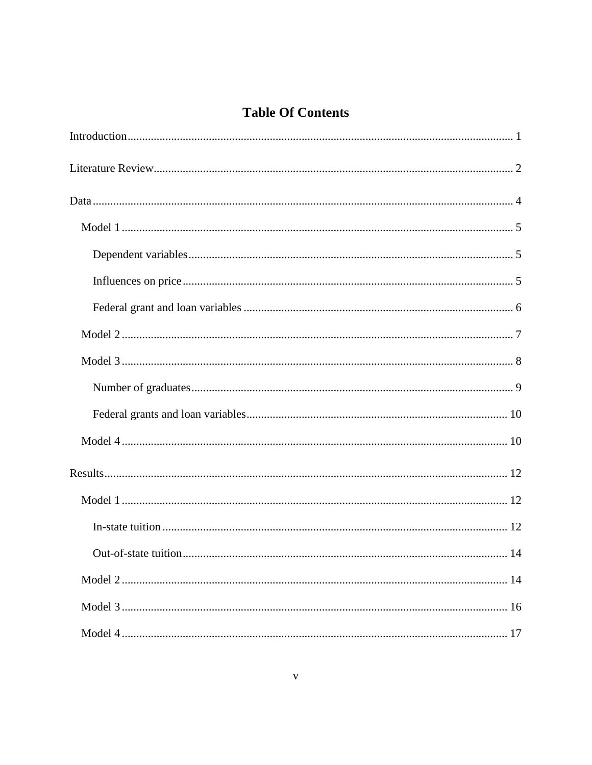# **Table Of Contents**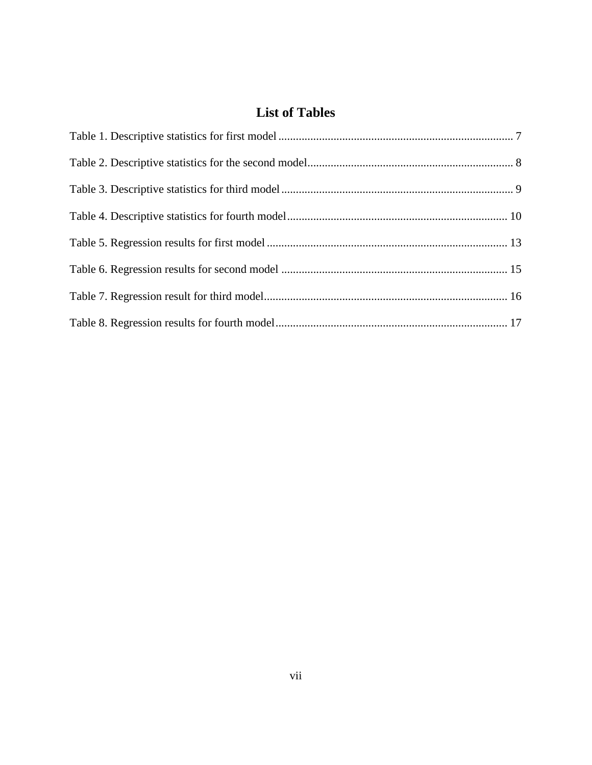# **List of Tables**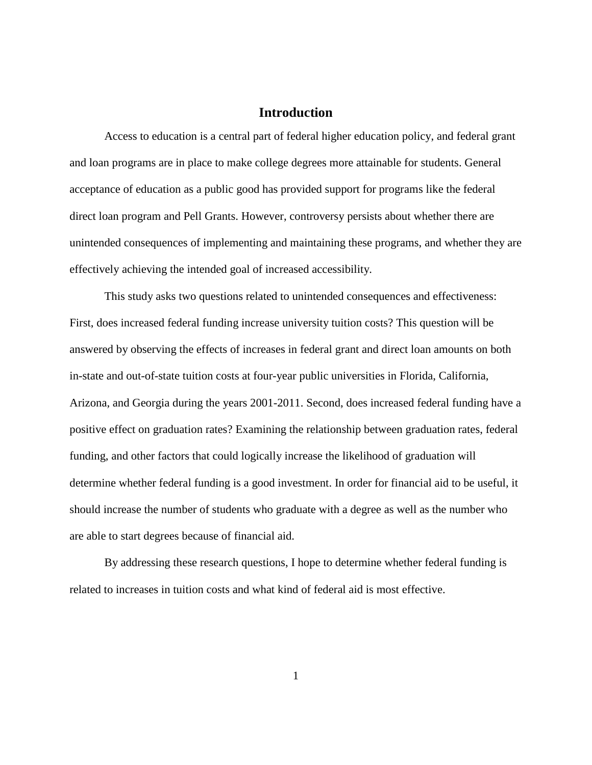## **Introduction**

Access to education is a central part of federal higher education policy, and federal grant and loan programs are in place to make college degrees more attainable for students. General acceptance of education as a public good has provided support for programs like the federal direct loan program and Pell Grants. However, controversy persists about whether there are unintended consequences of implementing and maintaining these programs, and whether they are effectively achieving the intended goal of increased accessibility.

This study asks two questions related to unintended consequences and effectiveness: First, does increased federal funding increase university tuition costs? This question will be answered by observing the effects of increases in federal grant and direct loan amounts on both in-state and out-of-state tuition costs at four-year public universities in Florida, California, Arizona, and Georgia during the years 2001-2011. Second, does increased federal funding have a positive effect on graduation rates? Examining the relationship between graduation rates, federal funding, and other factors that could logically increase the likelihood of graduation will determine whether federal funding is a good investment. In order for financial aid to be useful, it should increase the number of students who graduate with a degree as well as the number who are able to start degrees because of financial aid.

By addressing these research questions, I hope to determine whether federal funding is related to increases in tuition costs and what kind of federal aid is most effective.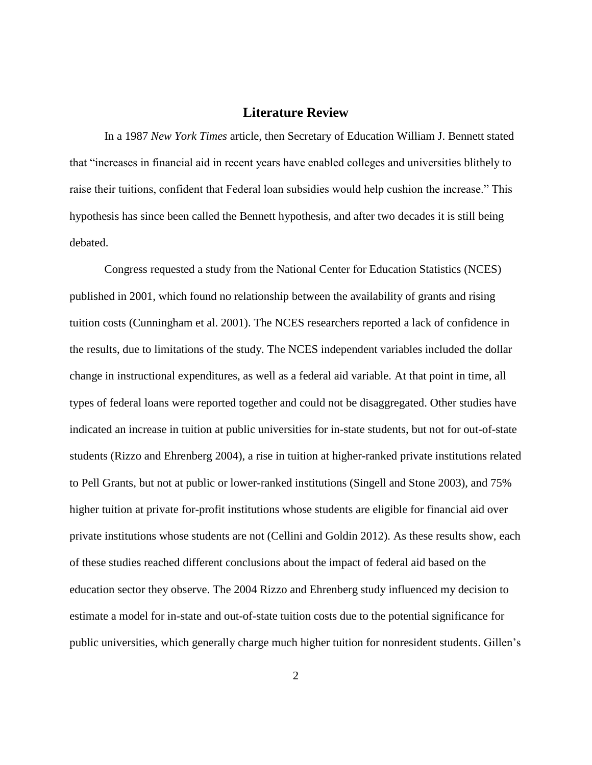## **Literature Review**

In a 1987 *New York Times* article, then Secretary of Education William J. Bennett stated that "increases in financial aid in recent years have enabled colleges and universities blithely to raise their tuitions, confident that Federal loan subsidies would help cushion the increase." This hypothesis has since been called the Bennett hypothesis, and after two decades it is still being debated.

Congress requested a study from the National Center for Education Statistics (NCES) published in 2001, which found no relationship between the availability of grants and rising tuition costs (Cunningham et al. 2001). The NCES researchers reported a lack of confidence in the results, due to limitations of the study. The NCES independent variables included the dollar change in instructional expenditures, as well as a federal aid variable. At that point in time, all types of federal loans were reported together and could not be disaggregated. Other studies have indicated an increase in tuition at public universities for in-state students, but not for out-of-state students (Rizzo and Ehrenberg 2004), a rise in tuition at higher-ranked private institutions related to Pell Grants, but not at public or lower-ranked institutions (Singell and Stone 2003), and 75% higher tuition at private for-profit institutions whose students are eligible for financial aid over private institutions whose students are not (Cellini and Goldin 2012). As these results show, each of these studies reached different conclusions about the impact of federal aid based on the education sector they observe. The 2004 Rizzo and Ehrenberg study influenced my decision to estimate a model for in-state and out-of-state tuition costs due to the potential significance for public universities, which generally charge much higher tuition for nonresident students. Gillen's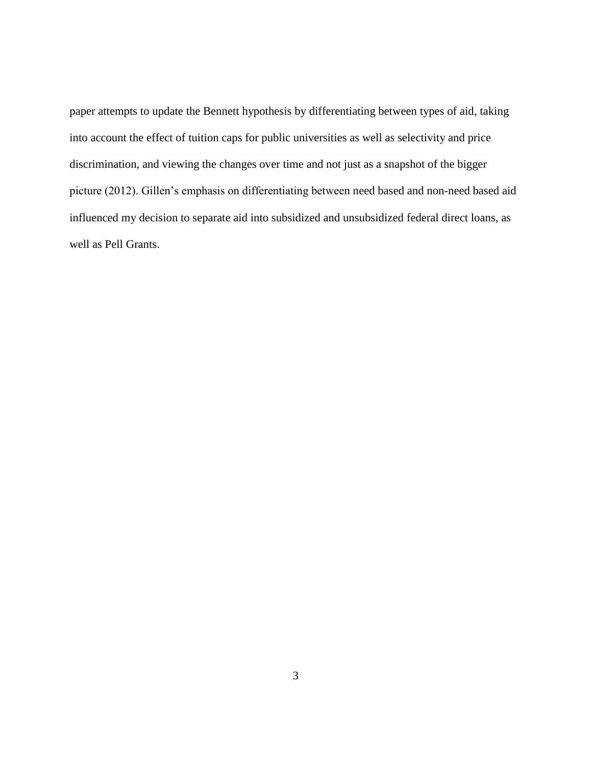paper attempts to update the Bennett hypothesis by differentiating between types of aid, taking into account the effect of tuition caps for public universities as well as selectivity and price discrimination, and viewing the changes over time and not just as a snapshot of the bigger picture (2012). Gillen's emphasis on differentiating between need based and non-need based aid influenced my decision to separate aid into subsidized and unsubsidized federal direct loans, as well as Pell Grants.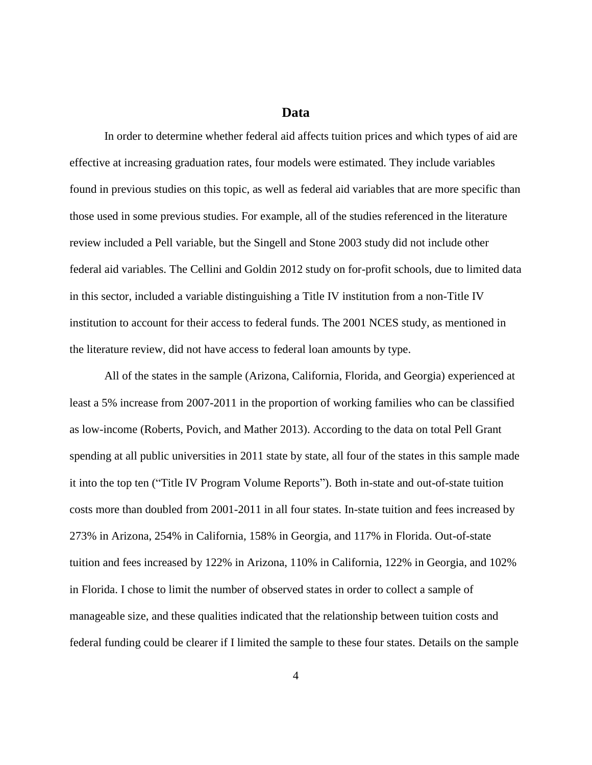## **Data**

In order to determine whether federal aid affects tuition prices and which types of aid are effective at increasing graduation rates, four models were estimated. They include variables found in previous studies on this topic, as well as federal aid variables that are more specific than those used in some previous studies. For example, all of the studies referenced in the literature review included a Pell variable, but the Singell and Stone 2003 study did not include other federal aid variables. The Cellini and Goldin 2012 study on for-profit schools, due to limited data in this sector, included a variable distinguishing a Title IV institution from a non-Title IV institution to account for their access to federal funds. The 2001 NCES study, as mentioned in the literature review, did not have access to federal loan amounts by type.

All of the states in the sample (Arizona, California, Florida, and Georgia) experienced at least a 5% increase from 2007-2011 in the proportion of working families who can be classified as low-income (Roberts, Povich, and Mather 2013). According to the data on total Pell Grant spending at all public universities in 2011 state by state, all four of the states in this sample made it into the top ten ("Title IV Program Volume Reports"). Both in-state and out-of-state tuition costs more than doubled from 2001-2011 in all four states. In-state tuition and fees increased by 273% in Arizona, 254% in California, 158% in Georgia, and 117% in Florida. Out-of-state tuition and fees increased by 122% in Arizona, 110% in California, 122% in Georgia, and 102% in Florida. I chose to limit the number of observed states in order to collect a sample of manageable size, and these qualities indicated that the relationship between tuition costs and federal funding could be clearer if I limited the sample to these four states. Details on the sample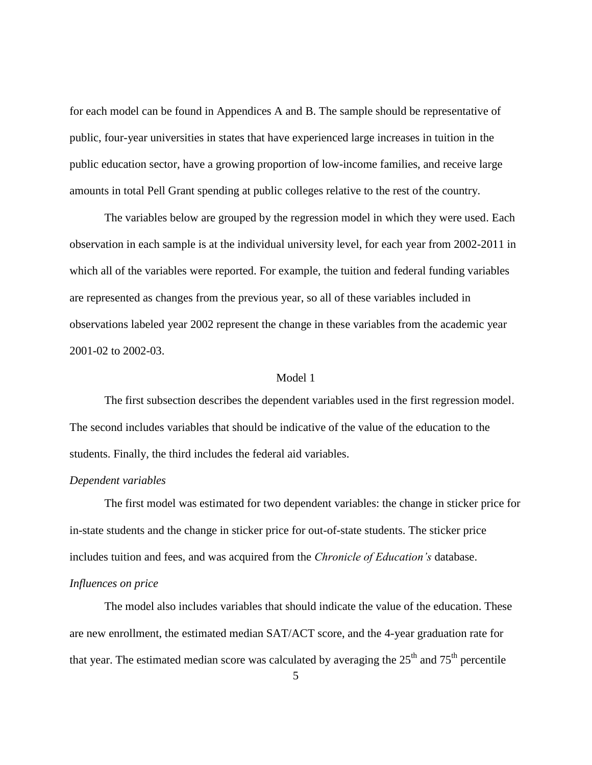for each model can be found in Appendices A and B. The sample should be representative of public, four-year universities in states that have experienced large increases in tuition in the public education sector, have a growing proportion of low-income families, and receive large amounts in total Pell Grant spending at public colleges relative to the rest of the country.

The variables below are grouped by the regression model in which they were used. Each observation in each sample is at the individual university level, for each year from 2002-2011 in which all of the variables were reported. For example, the tuition and federal funding variables are represented as changes from the previous year, so all of these variables included in observations labeled year 2002 represent the change in these variables from the academic year 2001-02 to 2002-03.

#### Model 1

The first subsection describes the dependent variables used in the first regression model. The second includes variables that should be indicative of the value of the education to the students. Finally, the third includes the federal aid variables.

#### *Dependent variables*

The first model was estimated for two dependent variables: the change in sticker price for in-state students and the change in sticker price for out-of-state students. The sticker price includes tuition and fees, and was acquired from the *Chronicle of Education's* database.

## *Influences on price*

The model also includes variables that should indicate the value of the education. These are new enrollment, the estimated median SAT/ACT score, and the 4-year graduation rate for that year. The estimated median score was calculated by averaging the  $25<sup>th</sup>$  and  $75<sup>th</sup>$  percentile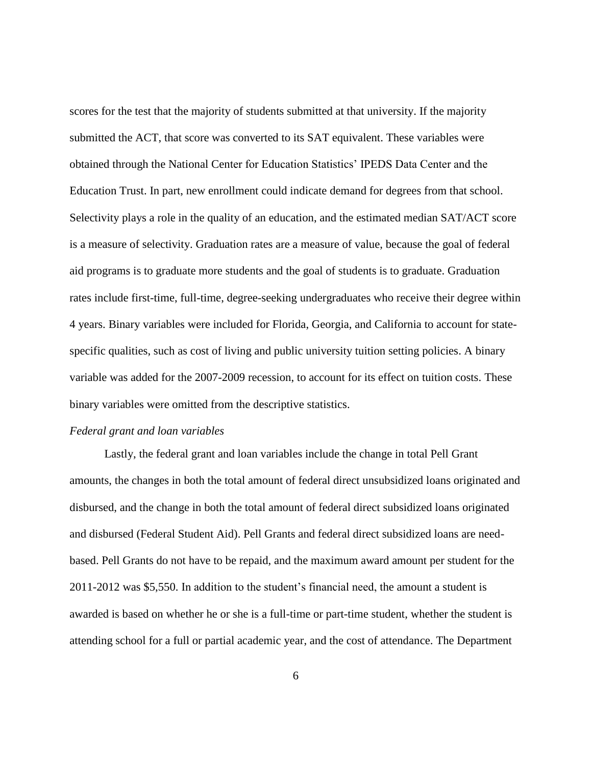scores for the test that the majority of students submitted at that university. If the majority submitted the ACT, that score was converted to its SAT equivalent. These variables were obtained through the National Center for Education Statistics' IPEDS Data Center and the Education Trust. In part, new enrollment could indicate demand for degrees from that school. Selectivity plays a role in the quality of an education, and the estimated median SAT/ACT score is a measure of selectivity. Graduation rates are a measure of value, because the goal of federal aid programs is to graduate more students and the goal of students is to graduate. Graduation rates include first-time, full-time, degree-seeking undergraduates who receive their degree within 4 years. Binary variables were included for Florida, Georgia, and California to account for statespecific qualities, such as cost of living and public university tuition setting policies. A binary variable was added for the 2007-2009 recession, to account for its effect on tuition costs. These binary variables were omitted from the descriptive statistics.

#### *Federal grant and loan variables*

Lastly, the federal grant and loan variables include the change in total Pell Grant amounts, the changes in both the total amount of federal direct unsubsidized loans originated and disbursed, and the change in both the total amount of federal direct subsidized loans originated and disbursed (Federal Student Aid). Pell Grants and federal direct subsidized loans are needbased. Pell Grants do not have to be repaid, and the maximum award amount per student for the 2011-2012 was \$5,550. In addition to the student's financial need, the amount a student is awarded is based on whether he or she is a full-time or part-time student, whether the student is attending school for a full or partial academic year, and the cost of attendance. The Department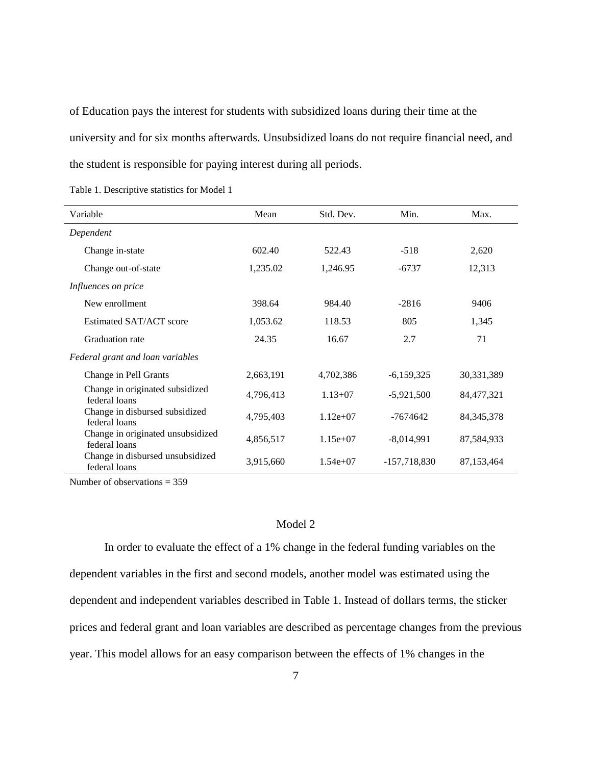of Education pays the interest for students with subsidized loans during their time at the university and for six months afterwards. Unsubsidized loans do not require financial need, and the student is responsible for paying interest during all periods.

| Variable                                           | Mean      | Std. Dev.   | Min.           | Max.         |
|----------------------------------------------------|-----------|-------------|----------------|--------------|
| Dependent                                          |           |             |                |              |
| Change in-state                                    | 602.40    | 522.43      | $-518$         | 2,620        |
| Change out-of-state                                | 1,235.02  | 1,246.95    | $-6737$        | 12,313       |
| Influences on price                                |           |             |                |              |
| New enrollment                                     | 398.64    | 984.40      | $-2816$        | 9406         |
| Estimated SAT/ACT score                            | 1,053.62  | 118.53      | 805            | 1,345        |
| Graduation rate                                    | 24.35     | 16.67       | 2.7            | 71           |
| Federal grant and loan variables                   |           |             |                |              |
| Change in Pell Grants                              | 2,663,191 | 4,702,386   | $-6,159,325$   | 30,331,389   |
| Change in originated subsidized<br>federal loans   | 4,796,413 | $1.13 + 07$ | $-5,921,500$   | 84, 477, 321 |
| Change in disbursed subsidized<br>federal loans    | 4,795,403 | $1.12e+07$  | $-7674642$     | 84, 345, 378 |
| Change in originated unsubsidized<br>federal loans | 4,856,517 | $1.15e+07$  | $-8,014,991$   | 87,584,933   |
| Change in disbursed unsubsidized<br>federal loans  | 3,915,660 | $1.54e+07$  | $-157,718,830$ | 87, 153, 464 |

Number of observations = 359

#### Model 2

In order to evaluate the effect of a 1% change in the federal funding variables on the dependent variables in the first and second models, another model was estimated using the dependent and independent variables described in Table 1. Instead of dollars terms, the sticker prices and federal grant and loan variables are described as percentage changes from the previous year. This model allows for an easy comparison between the effects of 1% changes in the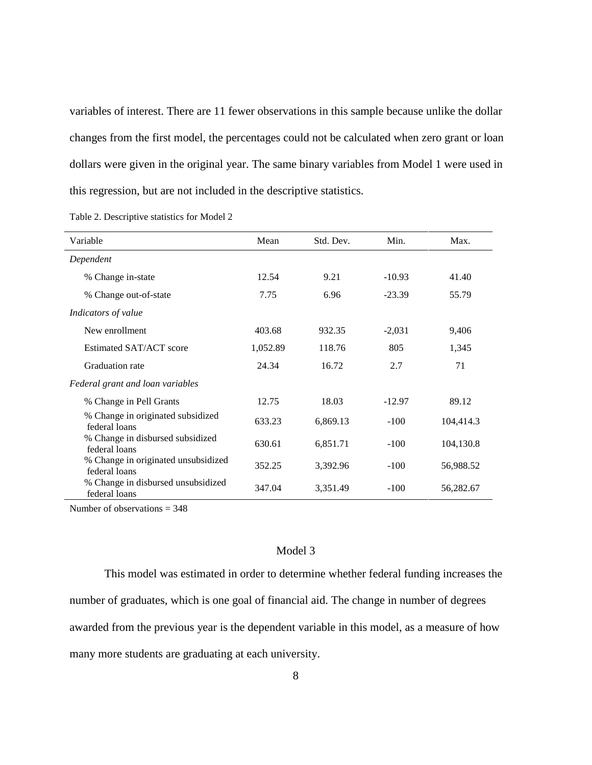variables of interest. There are 11 fewer observations in this sample because unlike the dollar changes from the first model, the percentages could not be calculated when zero grant or loan dollars were given in the original year. The same binary variables from Model 1 were used in this regression, but are not included in the descriptive statistics.

| Variable                                             | Mean     | Std. Dev. | Min.     | Max.      |
|------------------------------------------------------|----------|-----------|----------|-----------|
| Dependent                                            |          |           |          |           |
| % Change in-state                                    | 12.54    | 9.21      | $-10.93$ | 41.40     |
| % Change out-of-state                                | 7.75     | 6.96      | $-23.39$ | 55.79     |
| Indicators of value                                  |          |           |          |           |
| New enrollment                                       | 403.68   | 932.35    | $-2,031$ | 9,406     |
| Estimated SAT/ACT score                              | 1,052.89 | 118.76    | 805      | 1,345     |
| Graduation rate                                      | 24.34    | 16.72     | 2.7      | 71        |
| Federal grant and loan variables                     |          |           |          |           |
| % Change in Pell Grants                              | 12.75    | 18.03     | $-12.97$ | 89.12     |
| % Change in originated subsidized<br>federal loans   | 633.23   | 6,869.13  | $-100$   | 104,414.3 |
| % Change in disbursed subsidized<br>federal loans    | 630.61   | 6,851.71  | $-100$   | 104,130.8 |
| % Change in originated unsubsidized<br>federal loans | 352.25   | 3,392.96  | $-100$   | 56,988.52 |
| % Change in disbursed unsubsidized<br>federal loans  | 347.04   | 3,351.49  | $-100$   | 56,282.67 |

Table 2. Descriptive statistics for Model 2

Number of observations = 348

#### Model 3

This model was estimated in order to determine whether federal funding increases the number of graduates, which is one goal of financial aid. The change in number of degrees awarded from the previous year is the dependent variable in this model, as a measure of how many more students are graduating at each university.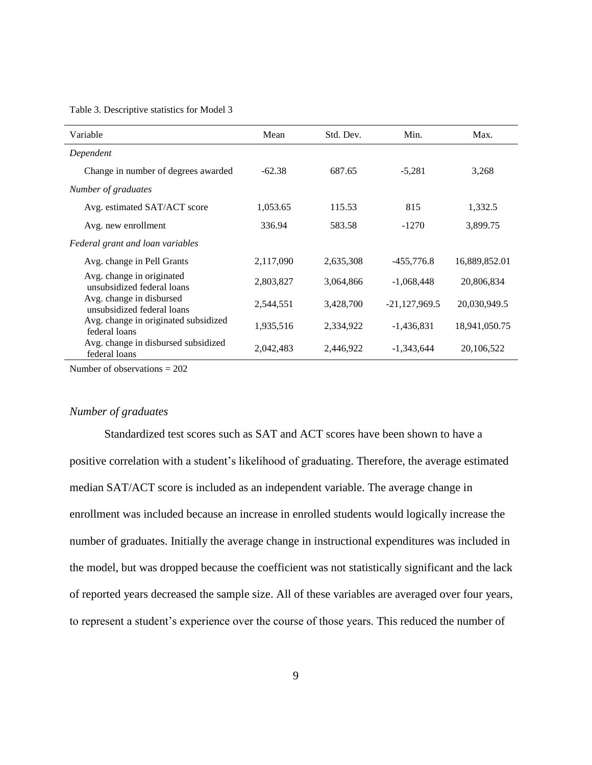Table 3. Descriptive statistics for Model 3

| Variable                                                | Mean      | Std. Dev. | Min.            | Max.          |
|---------------------------------------------------------|-----------|-----------|-----------------|---------------|
| Dependent                                               |           |           |                 |               |
| Change in number of degrees awarded                     | $-62.38$  | 687.65    | $-5.281$        | 3,268         |
| Number of graduates                                     |           |           |                 |               |
| Avg. estimated SAT/ACT score                            | 1,053.65  | 115.53    | 815             | 1,332.5       |
| Avg. new enrollment                                     | 336.94    | 583.58    | $-1270$         | 3,899.75      |
| Federal grant and loan variables                        |           |           |                 |               |
| Avg. change in Pell Grants                              | 2,117,090 | 2,635,308 | $-455,776.8$    | 16,889,852.01 |
| Avg. change in originated<br>unsubsidized federal loans | 2,803,827 | 3,064,866 | $-1,068,448$    | 20,806,834    |
| Avg. change in disbursed<br>unsubsidized federal loans  | 2,544,551 | 3,428,700 | $-21,127,969.5$ | 20,030,949.5  |
| Avg. change in originated subsidized<br>federal loans   | 1,935,516 | 2,334,922 | $-1,436,831$    | 18,941,050.75 |
| Avg. change in disbursed subsidized<br>federal loans    | 2,042,483 | 2,446,922 | $-1,343,644$    | 20,106,522    |

Number of observations = 202

#### *Number of graduates*

Standardized test scores such as SAT and ACT scores have been shown to have a positive correlation with a student's likelihood of graduating. Therefore, the average estimated median SAT/ACT score is included as an independent variable. The average change in enrollment was included because an increase in enrolled students would logically increase the number of graduates. Initially the average change in instructional expenditures was included in the model, but was dropped because the coefficient was not statistically significant and the lack of reported years decreased the sample size. All of these variables are averaged over four years, to represent a student's experience over the course of those years. This reduced the number of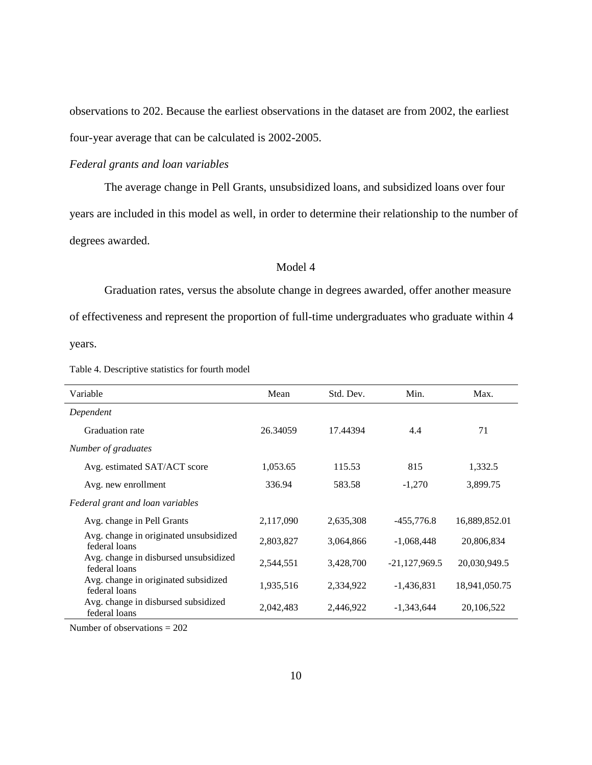observations to 202. Because the earliest observations in the dataset are from 2002, the earliest four-year average that can be calculated is 2002-2005.

#### *Federal grants and loan variables*

The average change in Pell Grants, unsubsidized loans, and subsidized loans over four years are included in this model as well, in order to determine their relationship to the number of degrees awarded.

#### Model 4

Graduation rates, versus the absolute change in degrees awarded, offer another measure of effectiveness and represent the proportion of full-time undergraduates who graduate within 4

years.

| Table 4. Descriptive statistics for fourth model |
|--------------------------------------------------|
|--------------------------------------------------|

| Variable                                                | Mean      | Std. Dev. | Min.            | Max.          |
|---------------------------------------------------------|-----------|-----------|-----------------|---------------|
| Dependent                                               |           |           |                 |               |
| Graduation rate                                         | 26.34059  | 17.44394  | 4.4             | 71            |
| Number of graduates                                     |           |           |                 |               |
| Avg. estimated SAT/ACT score                            | 1,053.65  | 115.53    | 815             | 1,332.5       |
| Avg. new enrollment                                     | 336.94    | 583.58    | $-1,270$        | 3,899.75      |
| Federal grant and loan variables                        |           |           |                 |               |
| Avg. change in Pell Grants                              | 2,117,090 | 2,635,308 | $-455,776.8$    | 16,889,852.01 |
| Avg. change in originated unsubsidized<br>federal loans | 2,803,827 | 3,064,866 | $-1,068,448$    | 20,806,834    |
| Avg. change in disbursed unsubsidized<br>federal loans  | 2,544,551 | 3,428,700 | $-21,127,969.5$ | 20,030,949.5  |
| Avg. change in originated subsidized<br>federal loans   | 1,935,516 | 2,334,922 | $-1,436,831$    | 18,941,050.75 |
| Avg. change in disbursed subsidized<br>federal loans    | 2,042,483 | 2,446,922 | $-1,343,644$    | 20,106,522    |

Number of observations = 202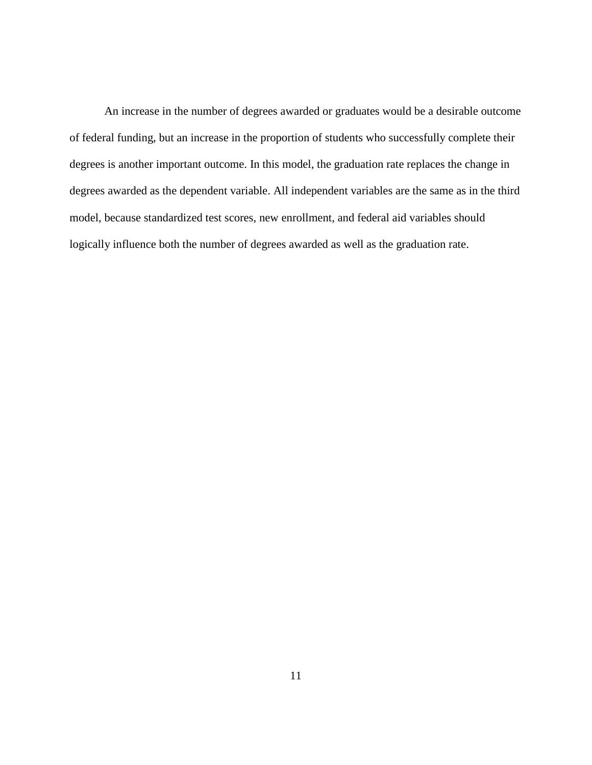An increase in the number of degrees awarded or graduates would be a desirable outcome of federal funding, but an increase in the proportion of students who successfully complete their degrees is another important outcome. In this model, the graduation rate replaces the change in degrees awarded as the dependent variable. All independent variables are the same as in the third model, because standardized test scores, new enrollment, and federal aid variables should logically influence both the number of degrees awarded as well as the graduation rate.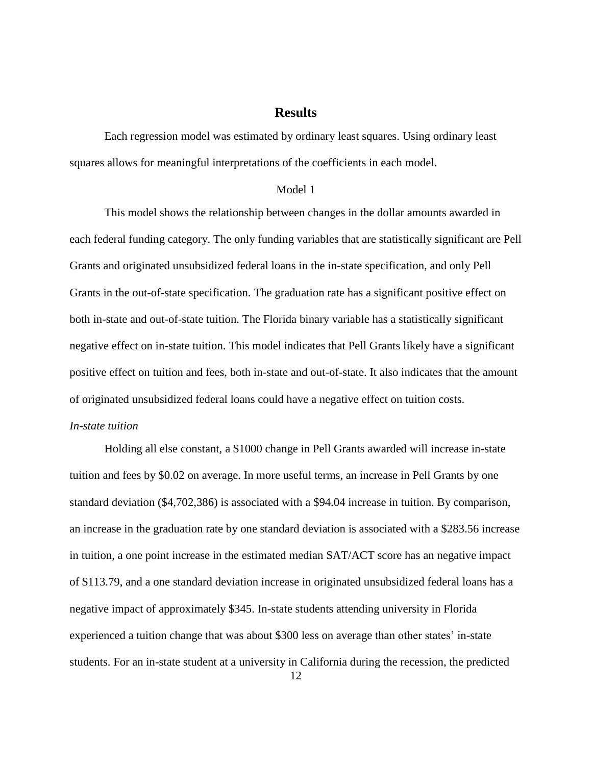## **Results**

Each regression model was estimated by ordinary least squares. Using ordinary least squares allows for meaningful interpretations of the coefficients in each model.

#### Model 1

This model shows the relationship between changes in the dollar amounts awarded in each federal funding category. The only funding variables that are statistically significant are Pell Grants and originated unsubsidized federal loans in the in-state specification, and only Pell Grants in the out-of-state specification. The graduation rate has a significant positive effect on both in-state and out-of-state tuition. The Florida binary variable has a statistically significant negative effect on in-state tuition. This model indicates that Pell Grants likely have a significant positive effect on tuition and fees, both in-state and out-of-state. It also indicates that the amount of originated unsubsidized federal loans could have a negative effect on tuition costs.

#### *In-state tuition*

Holding all else constant, a \$1000 change in Pell Grants awarded will increase in-state tuition and fees by \$0.02 on average. In more useful terms, an increase in Pell Grants by one standard deviation (\$4,702,386) is associated with a \$94.04 increase in tuition. By comparison, an increase in the graduation rate by one standard deviation is associated with a \$283.56 increase in tuition, a one point increase in the estimated median SAT/ACT score has an negative impact of \$113.79, and a one standard deviation increase in originated unsubsidized federal loans has a negative impact of approximately \$345. In-state students attending university in Florida experienced a tuition change that was about \$300 less on average than other states' in-state students. For an in-state student at a university in California during the recession, the predicted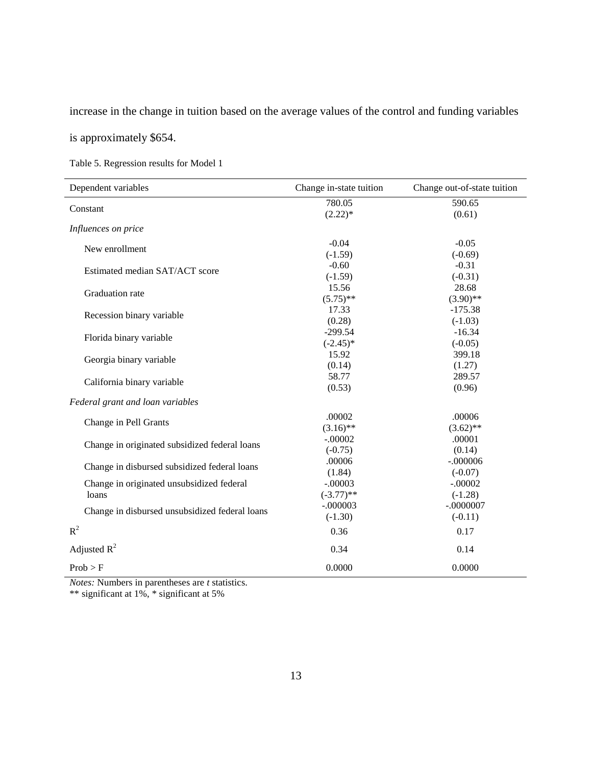increase in the change in tuition based on the average values of the control and funding variables

is approximately \$654.

Table 5. Regression results for Model 1

| Dependent variables                            | Change in-state tuition | Change out-of-state tuition |
|------------------------------------------------|-------------------------|-----------------------------|
| Constant                                       | 780.05                  | 590.65                      |
|                                                | $(2.22)*$               | (0.61)                      |
| Influences on price                            |                         |                             |
| New enrollment                                 | $-0.04$                 | $-0.05$                     |
|                                                | $(-1.59)$               | $(-0.69)$                   |
| Estimated median SAT/ACT score                 | $-0.60$                 | $-0.31$                     |
|                                                | $(-1.59)$               | $(-0.31)$                   |
| Graduation rate                                | 15.56                   | 28.68                       |
|                                                | $(5.75)$ **             | $(3.90)$ **                 |
|                                                | 17.33                   | $-175.38$                   |
| Recession binary variable                      | (0.28)                  | $(-1.03)$                   |
|                                                | $-299.54$               | $-16.34$                    |
| Florida binary variable                        | $(-2.45)$ *             | $(-0.05)$                   |
|                                                | 15.92                   | 399.18                      |
| Georgia binary variable                        | (0.14)                  | (1.27)                      |
|                                                | 58.77                   | 289.57                      |
| California binary variable                     | (0.53)                  | (0.96)                      |
| Federal grant and loan variables               |                         |                             |
|                                                | .00002                  | .00006                      |
| Change in Pell Grants                          | $(3.16)$ **             | $(3.62)$ **                 |
|                                                | $-.00002$               | .00001                      |
| Change in originated subsidized federal loans  | $(-0.75)$               | (0.14)                      |
|                                                | .00006                  | $-.000006$                  |
| Change in disbursed subsidized federal loans   | (1.84)                  | $(-0.07)$                   |
| Change in originated unsubsidized federal      | $-.00003$               | $-.00002$                   |
| loans                                          | $(-3.77)$ **            | $(-1.28)$                   |
|                                                | $-.000003$              | $-.0000007$                 |
| Change in disbursed unsubsidized federal loans | $(-1.30)$               | $(-0.11)$                   |
| $R^2$                                          | 0.36                    | 0.17                        |
| Adjusted $R^2$                                 | 0.34                    | 0.14                        |
| Prob > F                                       | 0.0000                  | 0.0000                      |

*Notes:* Numbers in parentheses are *t* statistics.

\*\* significant at 1%, \* significant at 5%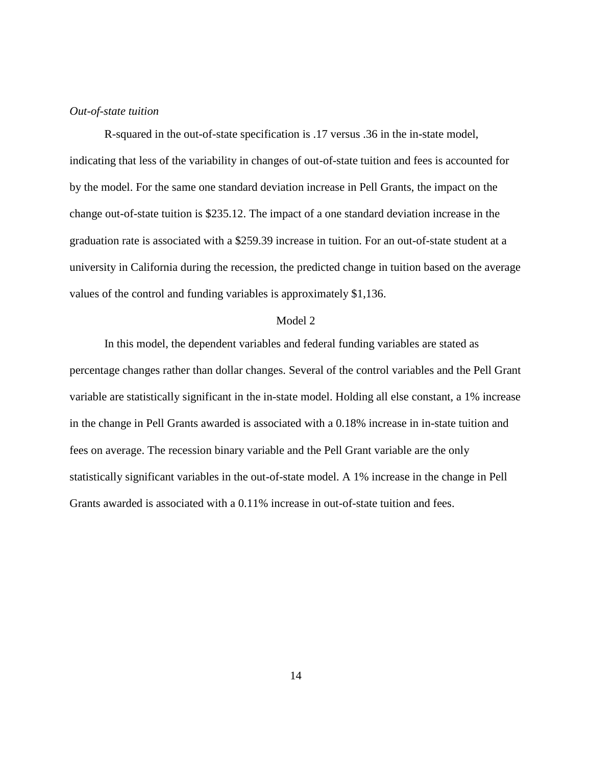#### *Out-of-state tuition*

R-squared in the out-of-state specification is .17 versus .36 in the in-state model, indicating that less of the variability in changes of out-of-state tuition and fees is accounted for by the model. For the same one standard deviation increase in Pell Grants, the impact on the change out-of-state tuition is \$235.12. The impact of a one standard deviation increase in the graduation rate is associated with a \$259.39 increase in tuition. For an out-of-state student at a university in California during the recession, the predicted change in tuition based on the average values of the control and funding variables is approximately \$1,136.

#### Model 2

In this model, the dependent variables and federal funding variables are stated as percentage changes rather than dollar changes. Several of the control variables and the Pell Grant variable are statistically significant in the in-state model. Holding all else constant, a 1% increase in the change in Pell Grants awarded is associated with a 0.18% increase in in-state tuition and fees on average. The recession binary variable and the Pell Grant variable are the only statistically significant variables in the out-of-state model. A 1% increase in the change in Pell Grants awarded is associated with a 0.11% increase in out-of-state tuition and fees.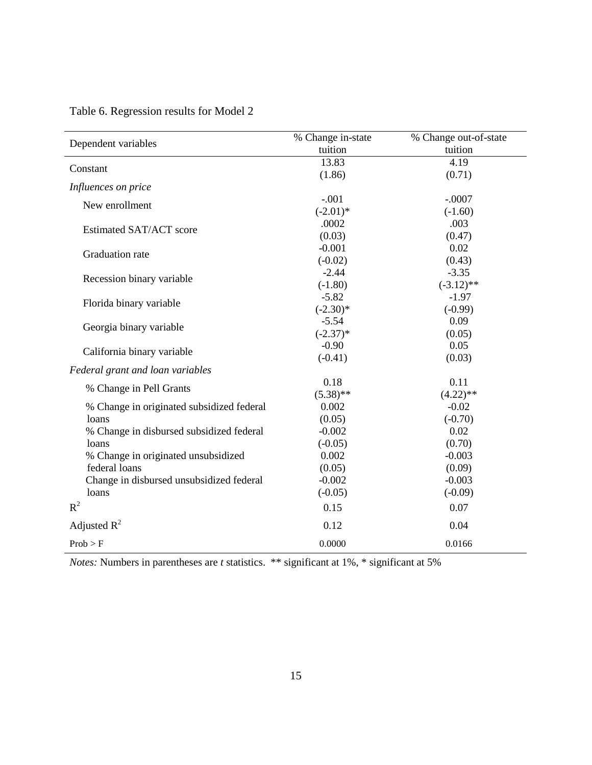| Dependent variables                       | % Change in-state | % Change out-of-state |
|-------------------------------------------|-------------------|-----------------------|
|                                           | tuition           | tuition               |
| Constant                                  | 13.83             | 4.19                  |
|                                           | (1.86)            | (0.71)                |
| Influences on price                       |                   |                       |
| New enrollment                            | $-.001$           | $-.0007$              |
|                                           | $(-2.01)$ *       | $(-1.60)$             |
| Estimated SAT/ACT score                   | .0002             | .003                  |
|                                           | (0.03)            | (0.47)                |
| Graduation rate                           | $-0.001$          | 0.02                  |
|                                           | $(-0.02)$         | (0.43)                |
| Recession binary variable                 | $-2.44$           | $-3.35$               |
|                                           | $(-1.80)$         | $(-3.12)$ **          |
| Florida binary variable                   | $-5.82$           | $-1.97$               |
|                                           | $(-2.30)$ *       | $(-0.99)$             |
| Georgia binary variable                   | $-5.54$           | 0.09                  |
|                                           | $(-2.37)*$        | (0.05)                |
| California binary variable                | $-0.90$           | 0.05                  |
|                                           | $(-0.41)$         | (0.03)                |
| Federal grant and loan variables          |                   |                       |
| % Change in Pell Grants                   | 0.18              | 0.11                  |
|                                           | $(5.38)$ **       | $(4.22)$ **           |
| % Change in originated subsidized federal | 0.002             | $-0.02$               |
| loans                                     | (0.05)            | $(-0.70)$             |
| % Change in disbursed subsidized federal  | $-0.002$          | 0.02                  |
| loans                                     | $(-0.05)$         | (0.70)                |
| % Change in originated unsubsidized       | 0.002             | $-0.003$              |
| federal loans                             | (0.05)            | (0.09)                |
| Change in disbursed unsubsidized federal  | $-0.002$          | $-0.003$              |
| loans                                     | $(-0.05)$         | $(-0.09)$             |
| $R^2$                                     | 0.15              | 0.07                  |
| Adjusted $R^2$                            | 0.12              | 0.04                  |
| Prob > F                                  | 0.0000            | 0.0166                |

Table 6. Regression results for Model 2

*Notes:* Numbers in parentheses are *t* statistics. \*\* significant at 1%, \* significant at 5%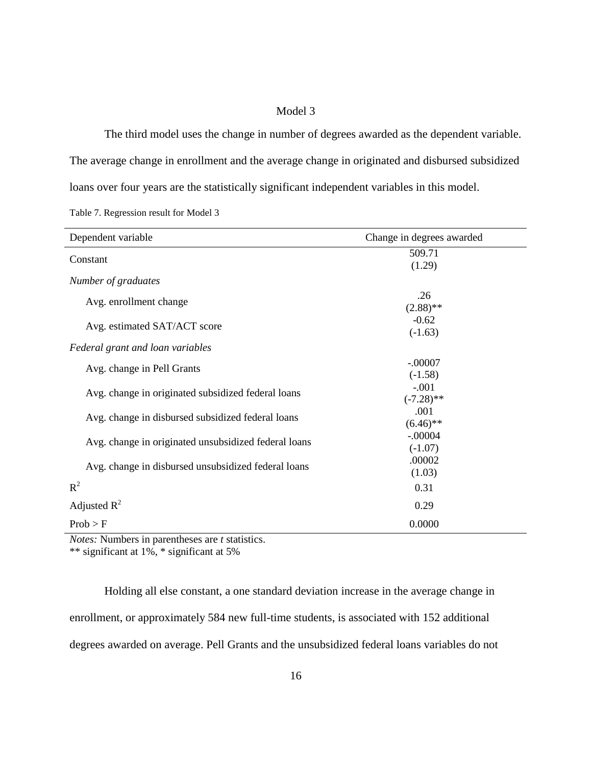#### Model 3

The third model uses the change in number of degrees awarded as the dependent variable. The average change in enrollment and the average change in originated and disbursed subsidized loans over four years are the statistically significant independent variables in this model.

Table 7. Regression result for Model 3

| Dependent variable                                   | Change in degrees awarded |
|------------------------------------------------------|---------------------------|
| Constant                                             | 509.71<br>(1.29)          |
| Number of graduates                                  |                           |
| Avg. enrollment change                               | .26<br>$(2.88)$ **        |
| Avg. estimated SAT/ACT score                         | $-0.62$<br>$(-1.63)$      |
| Federal grant and loan variables                     |                           |
| Avg. change in Pell Grants                           | $-.00007$<br>$(-1.58)$    |
| Avg. change in originated subsidized federal loans   | $-.001$<br>$(-7.28)$ **   |
| Avg. change in disbursed subsidized federal loans    | .001<br>$(6.46)$ **       |
| Avg. change in originated unsubsidized federal loans | $-.00004$<br>$(-1.07)$    |
| Avg. change in disbursed unsubsidized federal loans  | .00002<br>(1.03)          |
| $R^2$                                                | 0.31                      |
| Adjusted $R^2$                                       | 0.29                      |
| Prob > F                                             | 0.0000                    |

*Notes:* Numbers in parentheses are *t* statistics.

\*\* significant at 1%, \* significant at 5%

Holding all else constant, a one standard deviation increase in the average change in enrollment, or approximately 584 new full-time students, is associated with 152 additional degrees awarded on average. Pell Grants and the unsubsidized federal loans variables do not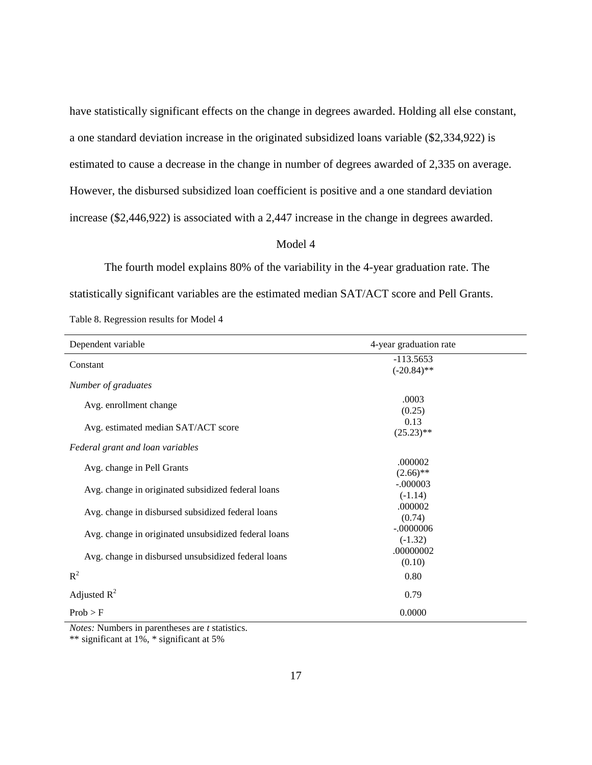have statistically significant effects on the change in degrees awarded. Holding all else constant, a one standard deviation increase in the originated subsidized loans variable (\$2,334,922) is estimated to cause a decrease in the change in number of degrees awarded of 2,335 on average. However, the disbursed subsidized loan coefficient is positive and a one standard deviation increase (\$2,446,922) is associated with a 2,447 increase in the change in degrees awarded.

#### Model 4

The fourth model explains 80% of the variability in the 4-year graduation rate. The statistically significant variables are the estimated median SAT/ACT score and Pell Grants. Table 8. Regression results for Model 4

| Dependent variable                                   | 4-year graduation rate       |
|------------------------------------------------------|------------------------------|
| Constant                                             | $-113.5653$<br>$(-20.84)$ ** |
| Number of graduates                                  |                              |
| Avg. enrollment change                               | .0003<br>(0.25)              |
| Avg. estimated median SAT/ACT score                  | 0.13<br>$(25.23)$ **         |
| Federal grant and loan variables                     |                              |
| Avg. change in Pell Grants                           | .000002<br>$(2.66)$ **       |
| Avg. change in originated subsidized federal loans   | $-.000003$<br>$(-1.14)$      |
| Avg. change in disbursed subsidized federal loans    | .000002<br>(0.74)            |
| Avg. change in originated unsubsidized federal loans | $-.0000006$<br>$(-1.32)$     |
| Avg. change in disbursed unsubsidized federal loans  | .00000002<br>(0.10)          |
| $R^2$                                                | 0.80                         |
| Adjusted $R^2$                                       | 0.79                         |
| Prob > F                                             | 0.0000                       |

*Notes:* Numbers in parentheses are *t* statistics.

<sup>\*\*</sup> significant at 1%, \* significant at 5%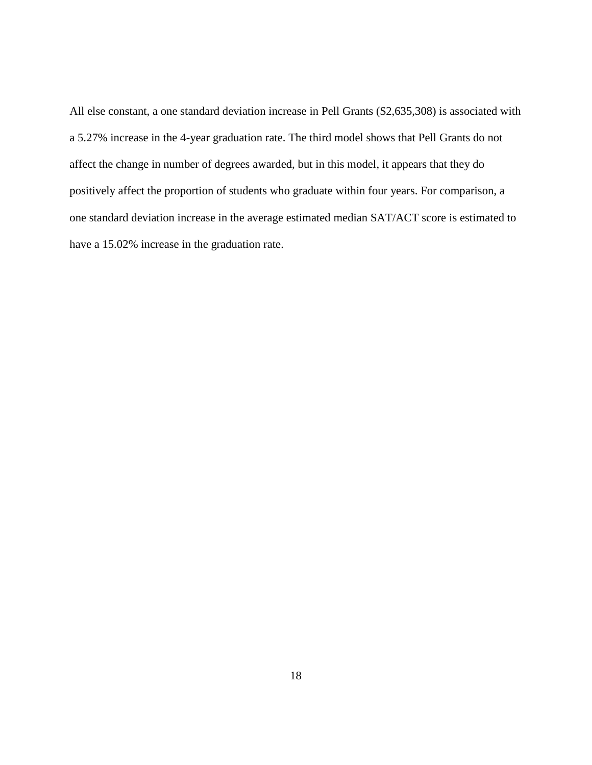All else constant, a one standard deviation increase in Pell Grants (\$2,635,308) is associated with a 5.27% increase in the 4-year graduation rate. The third model shows that Pell Grants do not affect the change in number of degrees awarded, but in this model, it appears that they do positively affect the proportion of students who graduate within four years. For comparison, a one standard deviation increase in the average estimated median SAT/ACT score is estimated to have a 15.02% increase in the graduation rate.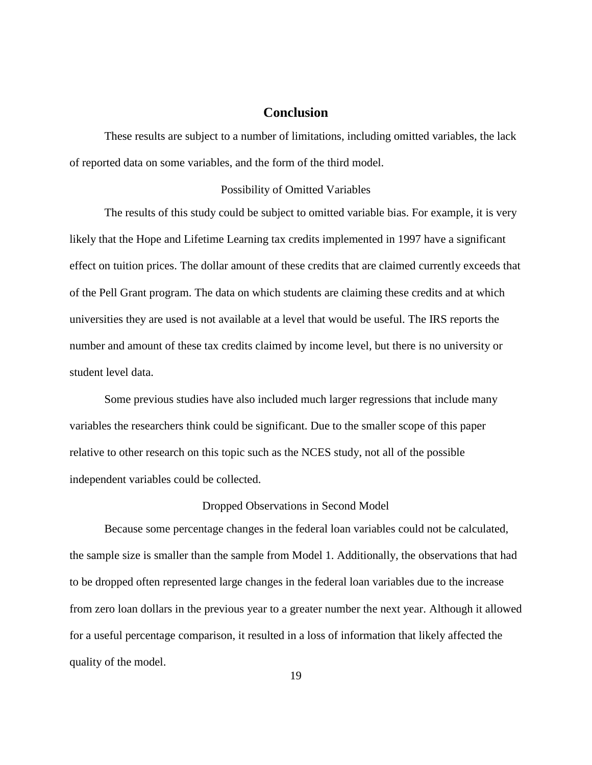## **Conclusion**

These results are subject to a number of limitations, including omitted variables, the lack of reported data on some variables, and the form of the third model.

#### Possibility of Omitted Variables

The results of this study could be subject to omitted variable bias. For example, it is very likely that the Hope and Lifetime Learning tax credits implemented in 1997 have a significant effect on tuition prices. The dollar amount of these credits that are claimed currently exceeds that of the Pell Grant program. The data on which students are claiming these credits and at which universities they are used is not available at a level that would be useful. The IRS reports the number and amount of these tax credits claimed by income level, but there is no university or student level data.

Some previous studies have also included much larger regressions that include many variables the researchers think could be significant. Due to the smaller scope of this paper relative to other research on this topic such as the NCES study, not all of the possible independent variables could be collected.

#### Dropped Observations in Second Model

Because some percentage changes in the federal loan variables could not be calculated, the sample size is smaller than the sample from Model 1. Additionally, the observations that had to be dropped often represented large changes in the federal loan variables due to the increase from zero loan dollars in the previous year to a greater number the next year. Although it allowed for a useful percentage comparison, it resulted in a loss of information that likely affected the quality of the model.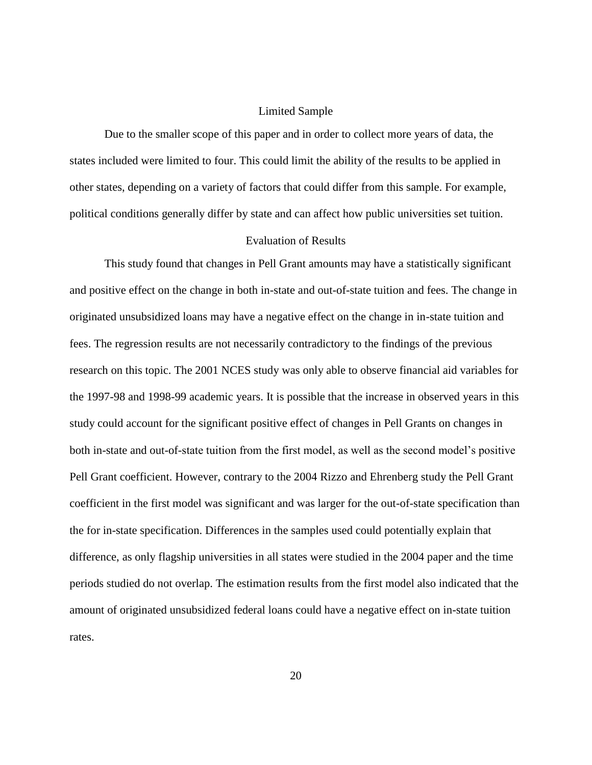#### Limited Sample

Due to the smaller scope of this paper and in order to collect more years of data, the states included were limited to four. This could limit the ability of the results to be applied in other states, depending on a variety of factors that could differ from this sample. For example, political conditions generally differ by state and can affect how public universities set tuition.

#### Evaluation of Results

This study found that changes in Pell Grant amounts may have a statistically significant and positive effect on the change in both in-state and out-of-state tuition and fees. The change in originated unsubsidized loans may have a negative effect on the change in in-state tuition and fees. The regression results are not necessarily contradictory to the findings of the previous research on this topic. The 2001 NCES study was only able to observe financial aid variables for the 1997-98 and 1998-99 academic years. It is possible that the increase in observed years in this study could account for the significant positive effect of changes in Pell Grants on changes in both in-state and out-of-state tuition from the first model, as well as the second model's positive Pell Grant coefficient. However, contrary to the 2004 Rizzo and Ehrenberg study the Pell Grant coefficient in the first model was significant and was larger for the out-of-state specification than the for in-state specification. Differences in the samples used could potentially explain that difference, as only flagship universities in all states were studied in the 2004 paper and the time periods studied do not overlap. The estimation results from the first model also indicated that the amount of originated unsubsidized federal loans could have a negative effect on in-state tuition rates.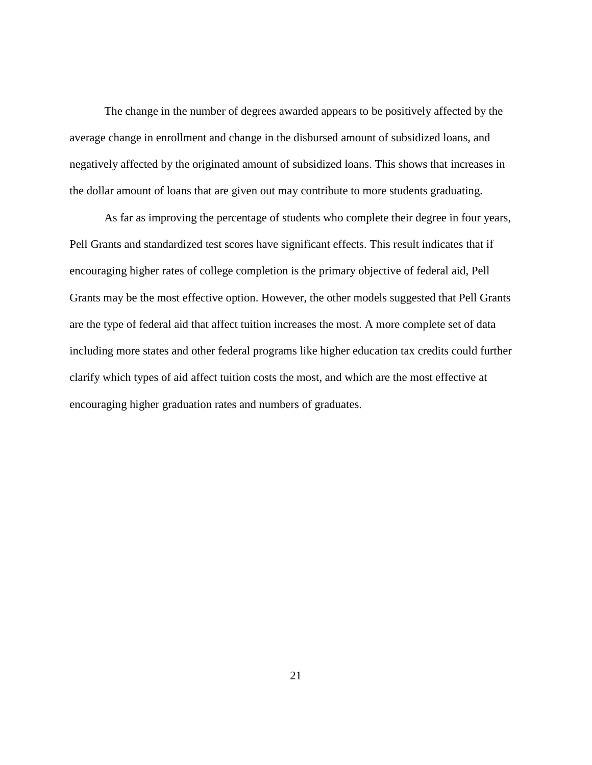The change in the number of degrees awarded appears to be positively affected by the average change in enrollment and change in the disbursed amount of subsidized loans, and negatively affected by the originated amount of subsidized loans. This shows that increases in the dollar amount of loans that are given out may contribute to more students graduating.

As far as improving the percentage of students who complete their degree in four years, Pell Grants and standardized test scores have significant effects. This result indicates that if encouraging higher rates of college completion is the primary objective of federal aid, Pell Grants may be the most effective option. However, the other models suggested that Pell Grants are the type of federal aid that affect tuition increases the most. A more complete set of data including more states and other federal programs like higher education tax credits could further clarify which types of aid affect tuition costs the most, and which are the most effective at encouraging higher graduation rates and numbers of graduates.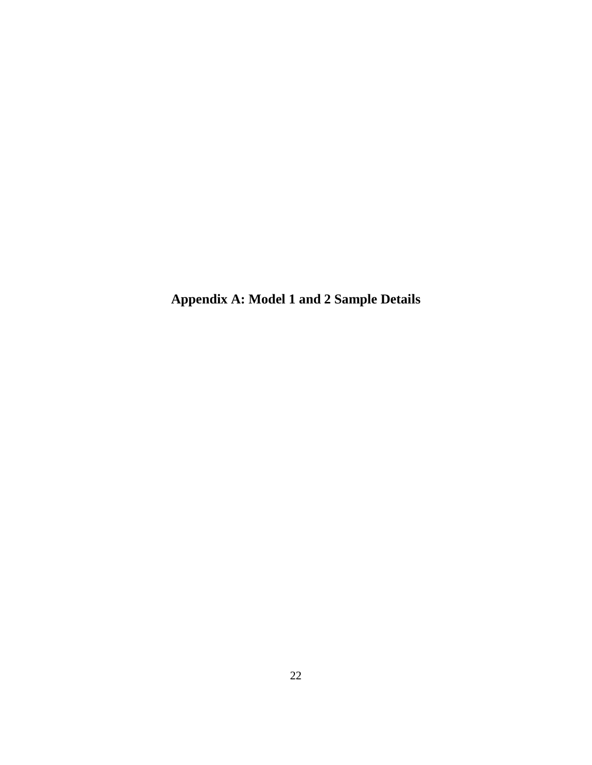**Appendix A: Model 1 and 2 Sample Details**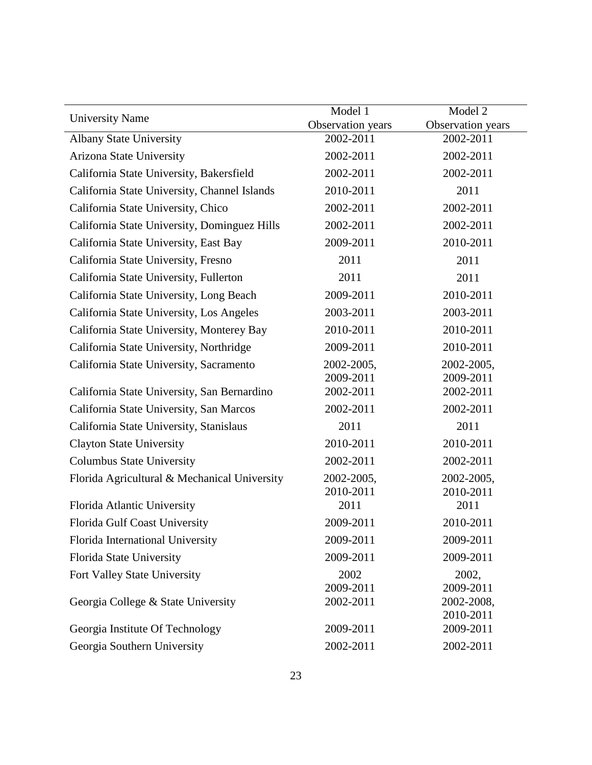| <b>University Name</b>                       | Model 1<br>Observation years | Model 2<br>Observation years |
|----------------------------------------------|------------------------------|------------------------------|
| <b>Albany State University</b>               | 2002-2011                    | 2002-2011                    |
| Arizona State University                     | 2002-2011                    | 2002-2011                    |
| California State University, Bakersfield     | 2002-2011                    | 2002-2011                    |
| California State University, Channel Islands | 2010-2011                    | 2011                         |
| California State University, Chico           | 2002-2011                    | 2002-2011                    |
| California State University, Dominguez Hills | 2002-2011                    | 2002-2011                    |
| California State University, East Bay        | 2009-2011                    | 2010-2011                    |
| California State University, Fresno          | 2011                         | 2011                         |
| California State University, Fullerton       | 2011                         | 2011                         |
| California State University, Long Beach      | 2009-2011                    | 2010-2011                    |
| California State University, Los Angeles     | 2003-2011                    | 2003-2011                    |
| California State University, Monterey Bay    | 2010-2011                    | 2010-2011                    |
| California State University, Northridge      | 2009-2011                    | 2010-2011                    |
| California State University, Sacramento      | 2002-2005,                   | 2002-2005,                   |
|                                              | 2009-2011                    | 2009-2011                    |
| California State University, San Bernardino  | 2002-2011                    | 2002-2011                    |
| California State University, San Marcos      | 2002-2011                    | 2002-2011                    |
| California State University, Stanislaus      | 2011                         | 2011                         |
| <b>Clayton State University</b>              | 2010-2011                    | 2010-2011                    |
| <b>Columbus State University</b>             | 2002-2011                    | 2002-2011                    |
| Florida Agricultural & Mechanical University | 2002-2005,<br>2010-2011      | 2002-2005,<br>2010-2011      |
| Florida Atlantic University                  | 2011                         | 2011                         |
| Florida Gulf Coast University                | 2009-2011                    | 2010-2011                    |
| Florida International University             | 2009-2011                    | 2009-2011                    |
| Florida State University                     | 2009-2011                    | 2009-2011                    |
| Fort Valley State University                 | 2002                         | 2002,                        |
|                                              | 2009-2011                    | 2009-2011                    |
| Georgia College & State University           | 2002-2011                    | 2002-2008,                   |
| Georgia Institute Of Technology              | 2009-2011                    | 2010-2011<br>2009-2011       |
| Georgia Southern University                  | 2002-2011                    | 2002-2011                    |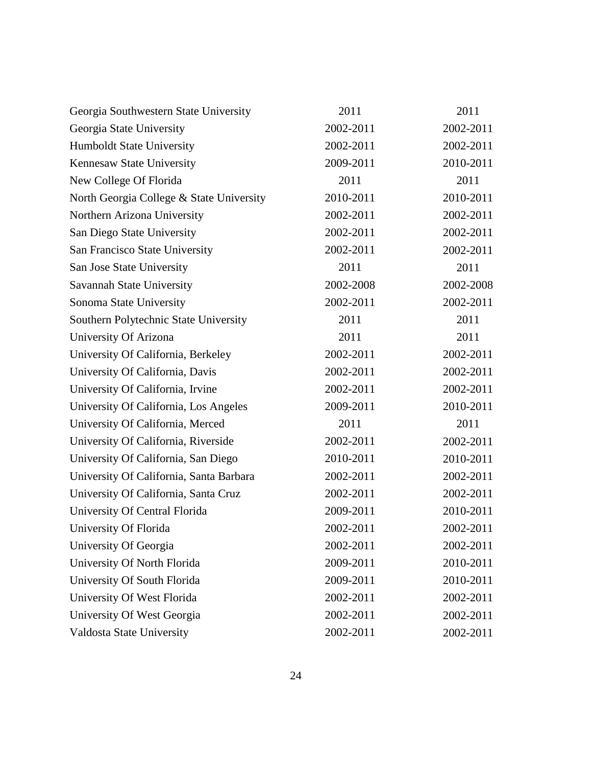| Georgia Southwestern State University    | 2011      | 2011      |
|------------------------------------------|-----------|-----------|
| Georgia State University                 | 2002-2011 | 2002-2011 |
| Humboldt State University                | 2002-2011 | 2002-2011 |
| Kennesaw State University                | 2009-2011 | 2010-2011 |
| New College Of Florida                   | 2011      | 2011      |
| North Georgia College & State University | 2010-2011 | 2010-2011 |
| Northern Arizona University              | 2002-2011 | 2002-2011 |
| San Diego State University               | 2002-2011 | 2002-2011 |
| San Francisco State University           | 2002-2011 | 2002-2011 |
| San Jose State University                | 2011      | 2011      |
| Savannah State University                | 2002-2008 | 2002-2008 |
| Sonoma State University                  | 2002-2011 | 2002-2011 |
| Southern Polytechnic State University    | 2011      | 2011      |
| University Of Arizona                    | 2011      | 2011      |
| University Of California, Berkeley       | 2002-2011 | 2002-2011 |
| University Of California, Davis          | 2002-2011 | 2002-2011 |
| University Of California, Irvine         | 2002-2011 | 2002-2011 |
| University Of California, Los Angeles    | 2009-2011 | 2010-2011 |
| University Of California, Merced         | 2011      | 2011      |
| University Of California, Riverside      | 2002-2011 | 2002-2011 |
| University Of California, San Diego      | 2010-2011 | 2010-2011 |
| University Of California, Santa Barbara  | 2002-2011 | 2002-2011 |
| University Of California, Santa Cruz     | 2002-2011 | 2002-2011 |
| University Of Central Florida            | 2009-2011 | 2010-2011 |
| University Of Florida                    | 2002-2011 | 2002-2011 |
| University Of Georgia                    | 2002-2011 | 2002-2011 |
| University Of North Florida              | 2009-2011 | 2010-2011 |
| University Of South Florida              | 2009-2011 | 2010-2011 |
| University Of West Florida               | 2002-2011 | 2002-2011 |
| University Of West Georgia               | 2002-2011 | 2002-2011 |
| Valdosta State University                | 2002-2011 | 2002-2011 |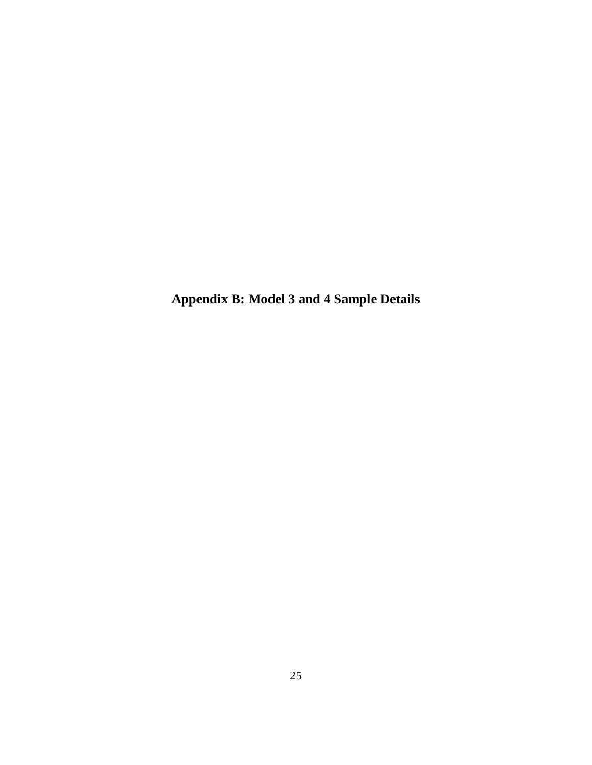**Appendix B: Model 3 and 4 Sample Details**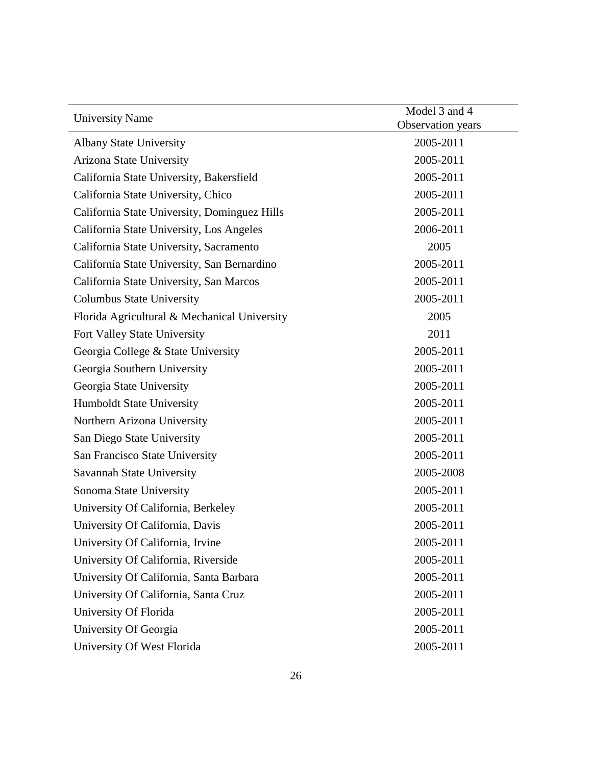| <b>University Name</b>                       | Model 3 and 4<br>Observation years |  |
|----------------------------------------------|------------------------------------|--|
| <b>Albany State University</b>               | 2005-2011                          |  |
| Arizona State University                     | 2005-2011                          |  |
| California State University, Bakersfield     | 2005-2011                          |  |
| California State University, Chico           | 2005-2011                          |  |
| California State University, Dominguez Hills | 2005-2011                          |  |
| California State University, Los Angeles     | 2006-2011                          |  |
| California State University, Sacramento      | 2005                               |  |
| California State University, San Bernardino  | 2005-2011                          |  |
| California State University, San Marcos      | 2005-2011                          |  |
| <b>Columbus State University</b>             | 2005-2011                          |  |
| Florida Agricultural & Mechanical University | 2005                               |  |
| Fort Valley State University                 | 2011                               |  |
| Georgia College & State University           | 2005-2011                          |  |
| Georgia Southern University                  | 2005-2011                          |  |
| Georgia State University                     | 2005-2011                          |  |
| <b>Humboldt State University</b>             | 2005-2011                          |  |
| Northern Arizona University                  | 2005-2011                          |  |
| San Diego State University                   | 2005-2011                          |  |
| San Francisco State University               | 2005-2011                          |  |
| Savannah State University                    | 2005-2008                          |  |
| Sonoma State University                      | 2005-2011                          |  |
| University Of California, Berkeley           | 2005-2011                          |  |
| University Of California, Davis              | 2005-2011                          |  |
| University Of California, Irvine             | 2005-2011                          |  |
| University Of California, Riverside          | 2005-2011                          |  |
| University Of California, Santa Barbara      | 2005-2011                          |  |
| University Of California, Santa Cruz         | 2005-2011                          |  |
| University Of Florida                        | 2005-2011                          |  |
| University Of Georgia                        | 2005-2011                          |  |
| University Of West Florida                   | 2005-2011                          |  |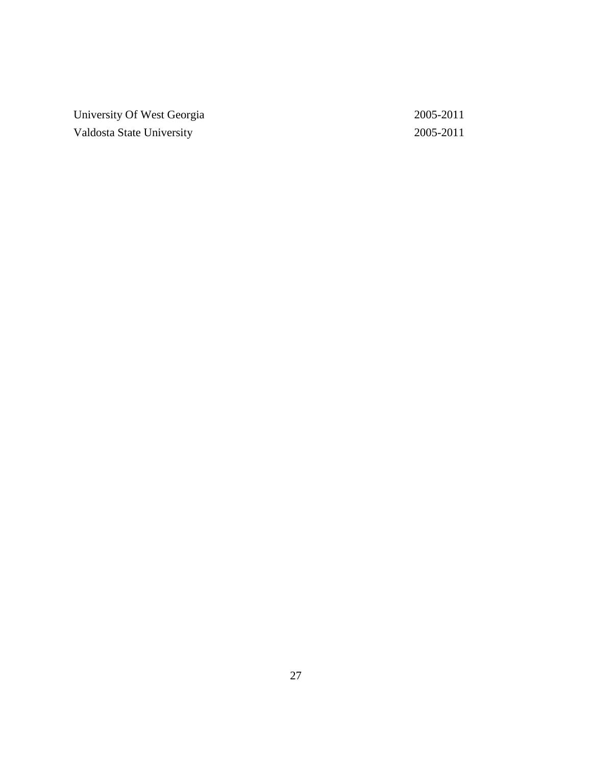University Of West Georgia 2005-2011 Valdosta State University 2005-2011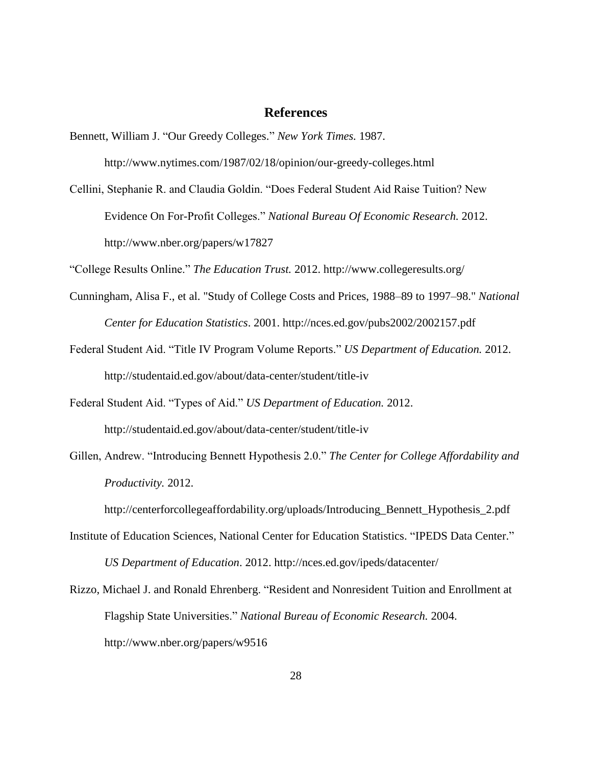#### **References**

Bennett, William J. "Our Greedy Colleges." *New York Times.* 1987.

http://www.nytimes.com/1987/02/18/opinion/our-greedy-colleges.html

Cellini, Stephanie R. and Claudia Goldin. "Does Federal Student Aid Raise Tuition? New Evidence On For-Profit Colleges." *National Bureau Of Economic Research.* 2012. http://www.nber.org/papers/w17827

"College Results Online." *The Education Trust.* 2012. http://www.collegeresults.org/

- Cunningham, Alisa F., et al. "Study of College Costs and Prices, 1988–89 to 1997–98." *National Center for Education Statistics*. 2001. http://nces.ed.gov/pubs2002/2002157.pdf
- Federal Student Aid. "Title IV Program Volume Reports." *US Department of Education.* 2012. http://studentaid.ed.gov/about/data-center/student/title-iv
- Federal Student Aid. "Types of Aid." *US Department of Education.* 2012. http://studentaid.ed.gov/about/data-center/student/title-iv
- Gillen, Andrew. "Introducing Bennett Hypothesis 2.0." *The Center for College Affordability and Productivity.* 2012.

http://centerforcollegeaffordability.org/uploads/Introducing\_Bennett\_Hypothesis\_2.pdf

- Institute of Education Sciences, National Center for Education Statistics. "IPEDS Data Center." *US Department of Education*. 2012. http://nces.ed.gov/ipeds/datacenter/
- Rizzo, Michael J. and Ronald Ehrenberg. "Resident and Nonresident Tuition and Enrollment at Flagship State Universities." *National Bureau of Economic Research.* 2004. http://www.nber.org/papers/w9516